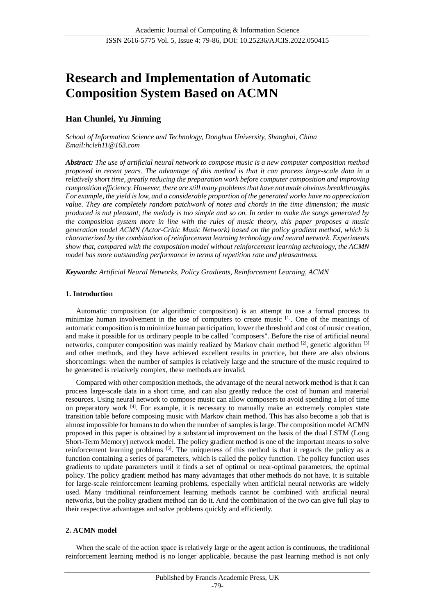# **Research and Implementation of Automatic Composition System Based on ACMN**

## **Han Chunlei, Yu Jinming**

*School of Information Science and Technology, Donghua University, Shanghai, China Email:hcleh11@163.com*

*Abstract: The use of artificial neural network to compose music is a new computer composition method proposed in recent years. The advantage of this method is that it can process large-scale data in a relatively short time, greatly reducing the preparation work before computer composition and improving composition efficiency. However, there are still many problems that have not made obvious breakthroughs. For example, the yield is low, and a considerable proportion of the generated works have no appreciation value. They are completely random patchwork of notes and chords in the time dimension; the music produced is not pleasant, the melody is too simple and so on. In order to make the songs generated by the composition system more in line with the rules of music theory, this paper proposes a music generation model ACMN (Actor-Critic Music Network) based on the policy gradient method, which is characterized by the combination of reinforcement learning technology and neural network. Experiments show that, compared with the composition model without reinforcement learning technology, the ACMN model has more outstanding performance in terms of repetition rate and pleasantness.*

*Keywords: Artificial Neural Networks, Policy Gradients, Reinforcement Learning, ACMN*

## **1. Introduction**

Automatic composition (or algorithmic composition) is an attempt to use a formal process to minimize human involvement in the use of computers to create music  $^{[1]}$ . One of the meanings of automatic composition is to minimize human participation, lower the threshold and cost of music creation, and make it possible for us ordinary people to be called "composers". Before the rise of artificial neural networks, computer composition was mainly realized by Markov chain method  $^{[2]}$ , genetic algorithm  $^{[3]}$ and other methods, and they have achieved excellent results in practice, but there are also obvious shortcomings: when the number of samples is relatively large and the structure of the music required to be generated is relatively complex, these methods are invalid.

Compared with other composition methods, the advantage of the neural network method is that it can process large-scale data in a short time, and can also greatly reduce the cost of human and material resources. Using neural network to compose music can allow composers to avoid spending a lot of time on preparatory work  $[4]$ . For example, it is necessary to manually make an extremely complex state transition table before composing music with Markov chain method. This has also become a job that is almost impossible for humans to do when the number of samples is large. The composition model ACMN proposed in this paper is obtained by a substantial improvement on the basis of the dual LSTM (Long Short-Term Memory) network model. The policy gradient method is one of the important means to solve reinforcement learning problems [5]. The uniqueness of this method is that it regards the policy as a function containing a series of parameters, which is called the policy function. The policy function uses gradients to update parameters until it finds a set of optimal or near-optimal parameters, the optimal policy. The policy gradient method has many advantages that other methods do not have. It is suitable for large-scale reinforcement learning problems, especially when artificial neural networks are widely used. Many traditional reinforcement learning methods cannot be combined with artificial neural networks, but the policy gradient method can do it. And the combination of the two can give full play to their respective advantages and solve problems quickly and efficiently.

#### **2. ACMN model**

When the scale of the action space is relatively large or the agent action is continuous, the traditional reinforcement learning method is no longer applicable, because the past learning method is not only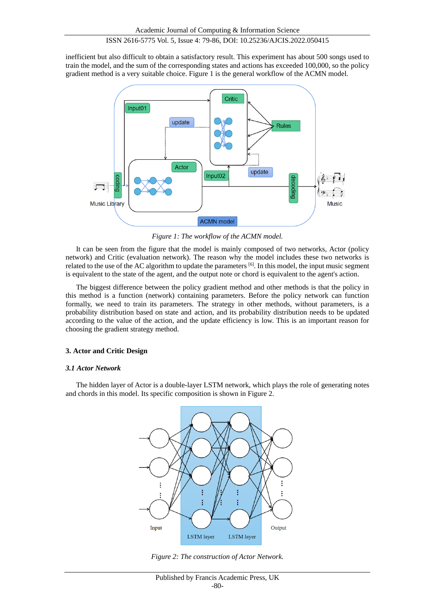inefficient but also difficult to obtain a satisfactory result. This experiment has about 500 songs used to train the model, and the sum of the corresponding states and actions has exceeded 100,000, so the policy gradient method is a very suitable choice. Figure 1 is the general workflow of the ACMN model.



*Figure 1: The workflow of the ACMN model.*

It can be seen from the figure that the model is mainly composed of two networks, Actor (policy network) and Critic (evaluation network). The reason why the model includes these two networks is related to the use of the AC algorithm to update the parameters [6]. In this model, the input music segment is equivalent to the state of the agent, and the output note or chord is equivalent to the agent's action.

The biggest difference between the policy gradient method and other methods is that the policy in this method is a function (network) containing parameters. Before the policy network can function formally, we need to train its parameters. The strategy in other methods, without parameters, is a probability distribution based on state and action, and its probability distribution needs to be updated according to the value of the action, and the update efficiency is low. This is an important reason for choosing the gradient strategy method.

## **3. Actor and Critic Design**

#### *3.1 Actor Network*

The hidden layer of Actor is a double-layer LSTM network, which plays the role of generating notes and chords in this model. Its specific composition is shown in Figure 2.



*Figure 2: The construction of Actor Network.*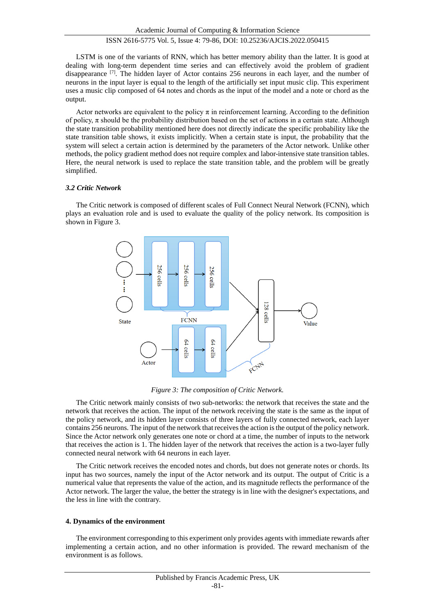LSTM is one of the variants of RNN, which has better memory ability than the latter. It is good at dealing with long-term dependent time series and can effectively avoid the problem of gradient disappearance  $^{[7]}$ . The hidden layer of Actor contains 256 neurons in each layer, and the number of neurons in the input layer is equal to the length of the artificially set input music clip. This experiment uses a music clip composed of 64 notes and chords as the input of the model and a note or chord as the output.

Actor networks are equivalent to the policy  $\pi$  in reinforcement learning. According to the definition of policy,  $\pi$  should be the probability distribution based on the set of actions in a certain state. Although the state transition probability mentioned here does not directly indicate the specific probability like the state transition table shows, it exists implicitly. When a certain state is input, the probability that the system will select a certain action is determined by the parameters of the Actor network. Unlike other methods, the policy gradient method does not require complex and labor-intensive state transition tables. Here, the neural network is used to replace the state transition table, and the problem will be greatly simplified.

#### *3.2 Critic Network*

The Critic network is composed of different scales of Full Connect Neural Network (FCNN), which plays an evaluation role and is used to evaluate the quality of the policy network. Its composition is shown in Figure 3.



*Figure 3: The composition of Critic Network.*

The Critic network mainly consists of two sub-networks: the network that receives the state and the network that receives the action. The input of the network receiving the state is the same as the input of the policy network, and its hidden layer consists of three layers of fully connected network, each layer contains 256 neurons. The input of the network that receives the action is the output of the policy network. Since the Actor network only generates one note or chord at a time, the number of inputs to the network that receives the action is 1. The hidden layer of the network that receives the action is a two-layer fully connected neural network with 64 neurons in each layer.

The Critic network receives the encoded notes and chords, but does not generate notes or chords. Its input has two sources, namely the input of the Actor network and its output. The output of Critic is a numerical value that represents the value of the action, and its magnitude reflects the performance of the Actor network. The larger the value, the better the strategy is in line with the designer's expectations, and the less in line with the contrary.

#### **4. Dynamics of the environment**

The environment corresponding to this experiment only provides agents with immediate rewards after implementing a certain action, and no other information is provided. The reward mechanism of the environment is as follows.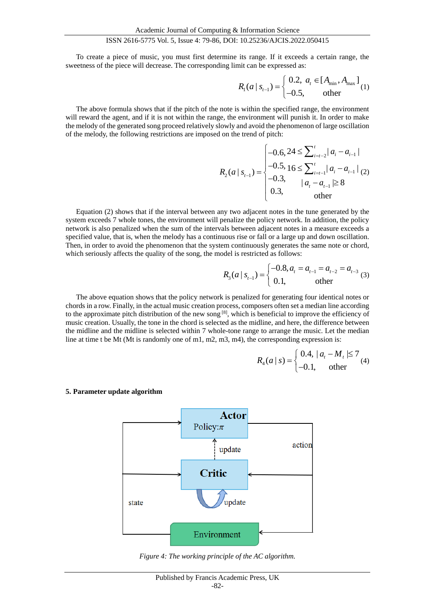To create a piece of music, you must first determine its range. If it exceeds a certain range, the sweetness of the piece will decrease. The corresponding limit can be expressed as:

$$
R_{1}(a \mid s_{t-1}) = \begin{cases} 0.2, & a_{t} \in [A_{\min}, A_{\max}] \\ -0.5, & \text{other} \end{cases}
$$
 (1)

The above formula shows that if the pitch of the note is within the specified range, the environment will reward the agent, and if it is not within the range, the environment will punish it. In order to make the melody of the generated song proceed relatively slowly and avoid the phenomenon of large oscillation of the melody, the following restrictions are imposed on the trend of pitch:

$$
R_2(a \mid s_{t-1}) = \begin{cases} -0.6, 24 \le \sum_{i=t-2}^{t} |a_i - a_{i-1}| \\ -0.5, 16 \le \sum_{i=t-1}^{t} |a_i - a_{i-1}| \\ -0.3, 1, 1, -1, 1 \ge 8 \\ 0.3, 0.0 \text{ther} \end{cases}
$$

Equation (2) shows that if the interval between any two adjacent notes in the tune generated by the system exceeds 7 whole tones, the environment will penalize the policy network. In addition, the policy network is also penalized when the sum of the intervals between adjacent notes in a measure exceeds a specified value, that is, when the melody has a continuous rise or fall or a large up and down oscillation. Then, in order to avoid the phenomenon that the system continuously generates the same note or chord, which seriously affects the quality of the song, the model is restricted as follows:

$$
R_3(a \mid s_{t-1}) = \begin{cases} -0.8, a_t = a_{t-1} = a_{t-2} = a_{t-3} \\ 0.1, \end{cases}
$$
 other

The above equation shows that the policy network is penalized for generating four identical notes or chords in a row. Finally, in the actual music creation process, composers often set a median line according to the approximate pitch distribution of the new song  $[8]$ , which is beneficial to improve the efficiency of music creation. Usually, the tone in the chord is selected as the midline, and here, the difference between the midline and the midline is selected within 7 whole-tone range to arrange the music. Let the median line at time t be Mt (Mt is randomly one of m1, m2, m3, m4), the corresponding expression is:

$$
R_4(a \mid s) = \begin{cases} 0.4, \mid a_t - M_t \le 7\\ -0.1, \quad \text{other} \end{cases} (4)
$$

#### **5. Parameter update algorithm**



*Figure 4: The working principle of the AC algorithm.*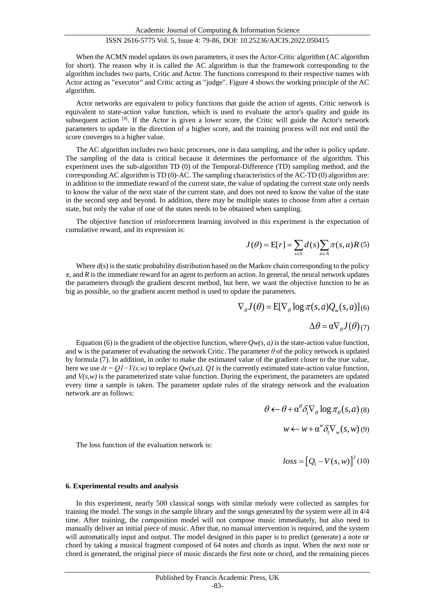When the ACMN model updates its own parameters, it uses the Actor-Critic algorithm (AC algorithm for short). The reason why it is called the AC algorithm is that the framework corresponding to the algorithm includes two parts, Critic and Actor. The functions correspond to their respective names with Actor acting as "executor" and Critic acting as "judge". Figure 4 shows the working principle of the AC algorithm.

Actor networks are equivalent to policy functions that guide the action of agents. Critic network is equivalent to state-action value function, which is used to evaluate the actor's quality and guide its subsequent action <sup>[9]</sup>. If the Actor is given a lower score, the Critic will guide the Actor's network parameters to update in the direction of a higher score, and the training process will not end until the score converges to a higher value.

The AC algorithm includes two basic processes, one is data sampling, and the other is policy update. The sampling of the data is critical because it determines the performance of the algorithm. This experiment uses the sub-algorithm TD (0) of the Temporal-Difference (TD) sampling method, and the corresponding AC algorithm is TD (0)-AC. The sampling characteristics of the AC-TD (0) algorithm are: in addition to the immediate reward of the current state, the value of updating the current state only needs to know the value of the next state of the current state, and does not need to know the value of the state in the second step and beyond. In addition, there may be multiple states to choose from after a certain state, but only the value of one of the states needs to be obtained when sampling.

The objective function of reinforcement learning involved in this experiment is the expectation of cumulative reward, and its expression is:

$$
J(\theta) = \mathbb{E}[r] = \sum_{s \in S} d(s) \sum_{a \in A} \pi(s, a) R(5)
$$

Where  $d(s)$  is the static probability distribution based on the Markov chain corresponding to the policy *π*, and *R* is the immediate reward for an agent to perform an action. In general, the neural network updates the parameters through the gradient descent method, but here, we want the objective function to be as big as possible, so the gradient ascent method is used to update the parameters.

$$
\nabla_{\theta} J(\theta) = \mathbb{E}[\nabla_{\theta} \log \pi(s, a) Q_{w}(s, a)](6)
$$

$$
\Delta \theta = \alpha \nabla_{\theta} J(\theta)(7)
$$

Equation (6) is the gradient of the objective function, where  $Qw(s, a)$  is the state-action value function, and w is the parameter of evaluating the network Critic. The parameter  $\theta$  of the policy network is updated by formula (7). In addition, in order to make the estimated value of the gradient closer to the true value, here we use  $\delta t = QI - V(s, w)$  to replace  $Qw(s, a)$ . *Q1* is the currently estimated state-action value function, and  $V(s, w)$  is the parameterized state value function. During the experiment, the parameters are updated every time a sample is taken. The parameter update rules of the strategy network and the evaluation network are as follows:

$$
\theta \leftarrow \theta + \alpha^{\theta} \delta_t \nabla_{\theta} \log \pi_{\theta}(s, a)
$$
 (8)  

$$
w \leftarrow w + \alpha^w \delta_t \nabla_w(s, w)
$$
 (9)

The loss function of the evaluation network is:

$$
loss = [Q_1 - V(s, w)]^2 (10)
$$

#### **6. Experimental results and analysis**

In this experiment, nearly 500 classical songs with similar melody were collected as samples for training the model. The songs in the sample library and the songs generated by the system were all in 4/4 time. After training, the composition model will not compose music immediately, but also need to manually deliver an initial piece of music. After that, no manual intervention is required, and the system will automatically input and output. The model designed in this paper is to predict (generate) a note or chord by taking a musical fragment composed of 64 notes and chords as input. When the next note or chord is generated, the original piece of music discards the first note or chord, and the remaining pieces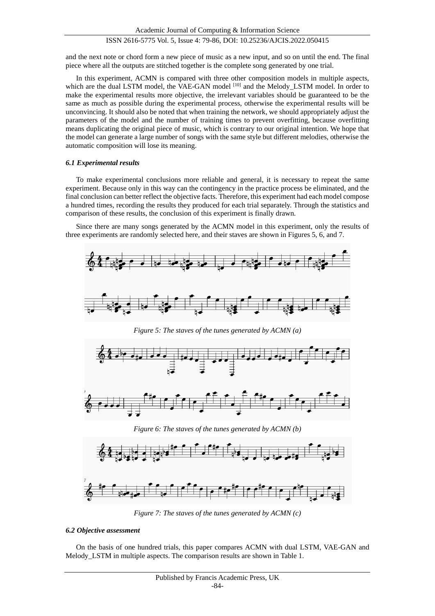Academic Journal of Computing & Information Science

## ISSN 2616-5775 Vol. 5, Issue 4: 79-86, DOI: 10.25236/AJCIS.2022.050415

and the next note or chord form a new piece of music as a new input, and so on until the end. The final piece where all the outputs are stitched together is the complete song generated by one trial.

In this experiment, ACMN is compared with three other composition models in multiple aspects, which are the dual LSTM model, the VAE-GAN model [10] and the Melody LSTM model. In order to make the experimental results more objective, the irrelevant variables should be guaranteed to be the same as much as possible during the experimental process, otherwise the experimental results will be unconvincing. It should also be noted that when training the network, we should appropriately adjust the parameters of the model and the number of training times to prevent overfitting, because overfitting means duplicating the original piece of music, which is contrary to our original intention. We hope that the model can generate a large number of songs with the same style but different melodies, otherwise the automatic composition will lose its meaning.

#### *6.1 Experimental results*

To make experimental conclusions more reliable and general, it is necessary to repeat the same experiment. Because only in this way can the contingency in the practice process be eliminated, and the final conclusion can better reflect the objective facts. Therefore, this experiment had each model compose a hundred times, recording the results they produced for each trial separately. Through the statistics and comparison of these results, the conclusion of this experiment is finally drawn.

Since there are many songs generated by the ACMN model in this experiment, only the results of three experiments are randomly selected here, and their staves are shown in Figures 5, 6, and 7.



*Figure 5: The staves of the tunes generated by ACMN (a)*



*Figure 6: The staves of the tunes generated by ACMN (b)*



*Figure 7: The staves of the tunes generated by ACMN (c)*

#### *6.2 Objective assessment*

On the basis of one hundred trials, this paper compares ACMN with dual LSTM, VAE-GAN and Melody\_LSTM in multiple aspects. The comparison results are shown in Table 1.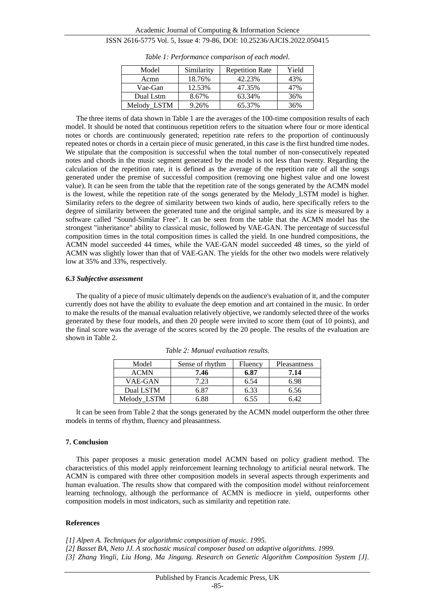| Model       | Similarity | <b>Repetition Rate</b> | Yield |
|-------------|------------|------------------------|-------|
| Acmn        | 18.76%     | 42.23%                 | 43%   |
| Vae-Gan     | 12.53%     | 47.35%                 | 47%   |
| Dual Lstm   | 8.67%      | 63.34%                 | 36%   |
| Melody_LSTM | 9.26%      | 65.37%                 | 36%   |

*Table 1: Performance comparison of each model.*

The three items of data shown in Table 1 are the averages of the 100-time composition results of each model. It should be noted that continuous repetition refers to the situation where four or more identical notes or chords are continuously generated; repetition rate refers to the proportion of continuously repeated notes or chords in a certain piece of music generated, in this case is the first hundred time nodes. We stipulate that the composition is successful when the total number of non-consecutively repeated notes and chords in the music segment generated by the model is not less than twenty. Regarding the calculation of the repetition rate, it is defined as the average of the repetition rate of all the songs generated under the premise of successful composition (removing one highest value and one lowest value). It can be seen from the table that the repetition rate of the songs generated by the ACMN model is the lowest, while the repetition rate of the songs generated by the Melody\_LSTM model is higher. Similarity refers to the degree of similarity between two kinds of audio, here specifically refers to the degree of similarity between the generated tune and the original sample, and its size is measured by a software called "Sound-Similar Free". It can be seen from the table that the ACMN model has the strongest "inheritance" ability to classical music, followed by VAE-GAN. The percentage of successful composition times in the total composition times is called the yield. In one hundred compositions, the ACMN model succeeded 44 times, while the VAE-GAN model succeeded 48 times, so the yield of ACMN was slightly lower than that of VAE-GAN. The yields for the other two models were relatively low at 35% and 33%, respectively.

#### *6.3 Subjective assessment*

The quality of a piece of music ultimately depends on the audience's evaluation of it, and the computer currently does not have the ability to evaluate the deep emotion and art contained in the music. In order to make the results of the manual evaluation relatively objective, we randomly selected three of the works generated by these four models, and then 20 people were invited to score them (out of 10 points), and the final score was the average of the scores scored by the 20 people. The results of the evaluation are shown in Table 2.

| Model       | Sense of rhythm | Fluency | Pleasantness |
|-------------|-----------------|---------|--------------|
| <b>ACMN</b> | 7.46            | 6.87    | 7.14         |
| VAE-GAN     | 7.23            | 6.54    | 6.98         |
| Dual LSTM   | 6 87            | 6.33    | 6.56         |
| Melody LSTM | 6.88            | 6.55    | 6 42         |

*Table 2: Manual evaluation results.*

It can be seen from Table 2 that the songs generated by the ACMN model outperform the other three models in terms of rhythm, fluency and pleasantness.

#### **7. Conclusion**

This paper proposes a music generation model ACMN based on policy gradient method. The characteristics of this model apply reinforcement learning technology to artificial neural network. The ACMN is compared with three other composition models in several aspects through experiments and human evaluation. The results show that compared with the composition model without reinforcement learning technology, although the performance of ACMN is mediocre in yield, outperforms other composition models in most indicators, such as similarity and repetition rate.

#### **References**

*[1] Alpen A. Techniques for algorithmic composition of music. 1995.*

*[2] Basset BA, Neto JJ. A stochastic musical composer based on adaptive algorithms. 1999.*

*[3] Zhang Yingli, Liu Hong, Ma Jingang. Research on Genetic Algorithm Composition System [J].*